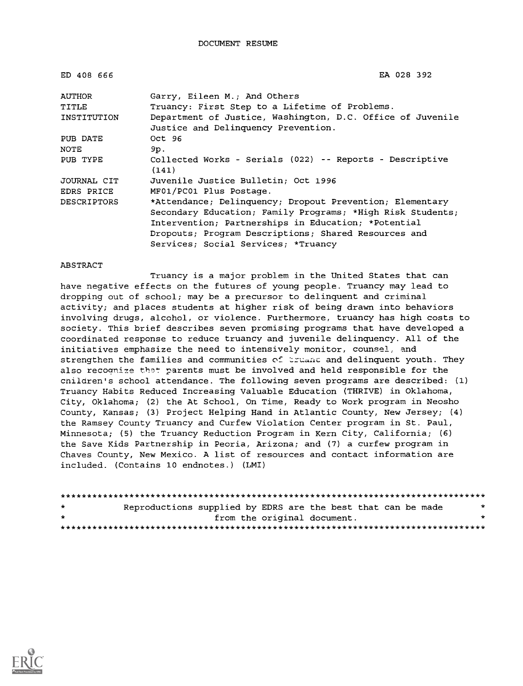| ED 408 666  | EA 028 392                                                        |
|-------------|-------------------------------------------------------------------|
| AUTHOR      | Garry, Eileen M.; And Others                                      |
| TITLE       | Truancy: First Step to a Lifetime of Problems.                    |
| INSTITUTION | Department of Justice, Washington, D.C. Office of Juvenile        |
|             | Justice and Delinquency Prevention.                               |
| PUB DATE    | Oct 96                                                            |
| NOTE        | 9p.                                                               |
| PUB TYPE    | Collected Works - Serials (022) -- Reports - Descriptive<br>(141) |
| JOURNAL CIT | Juvenile Justice Bulletin: Oct 1996                               |
| EDRS PRICE  | MF01/PC01 Plus Postage.                                           |
| DESCRIPTORS | *Attendance; Delinquency; Dropout Prevention; Elementary          |
|             | Secondary Education; Family Programs; *High Risk Students;        |
|             | Intervention; Partnerships in Education; *Potential               |
|             | Dropouts; Program Descriptions; Shared Resources and              |
|             | Services; Social Services; *Truancy                               |

#### ABSTRACT

Truancy is a major problem in the United States that can have negative effects on the futures of young people. Truancy may lead to dropping out of school; may be a precursor to delinquent and criminal activity; and places students at higher risk of being drawn into behaviors involving drugs, alcohol, or violence. Furthermore, truancy has high costs to society. This brief describes seven promising programs that have developed a coordinated response to reduce truancy and juvenile delinquency. All of the initiatives emphasize the need to intensively monitor, counsel, and strengthen the families and communities of truand and delinquent youth. They also recognize that parents must be involved and held responsible for the cnildren's school attendance. The following seven programs are described: (1) Truancy Habits Reduced Increasing Valuable Education (THRIVE) in Oklahoma, City, Oklahoma; (2) the At School, On Time, Ready to Work program in Neosho County, Kansas; (3) Project Helping Hand in Atlantic County, New Jersey; (4) the Ramsey County Truancy and Curfew Violation Center program in St. Paul, Minnesota; (5) the Truancy Reduction Program in Kern City, California; (6) the Save Kids Partnership in Peoria, Arizona; and (7) a curfew program in Chaves County, New Mexico. A list of resources and contact information are included. (Contains 10 endnotes.) (LMI)

| $\star$ | Reproductions supplied by EDRS are the best that can be made |                             |  |  | $\mathcal{R}$ |
|---------|--------------------------------------------------------------|-----------------------------|--|--|---------------|
| $\star$ |                                                              | from the original document. |  |  |               |
|         |                                                              |                             |  |  |               |

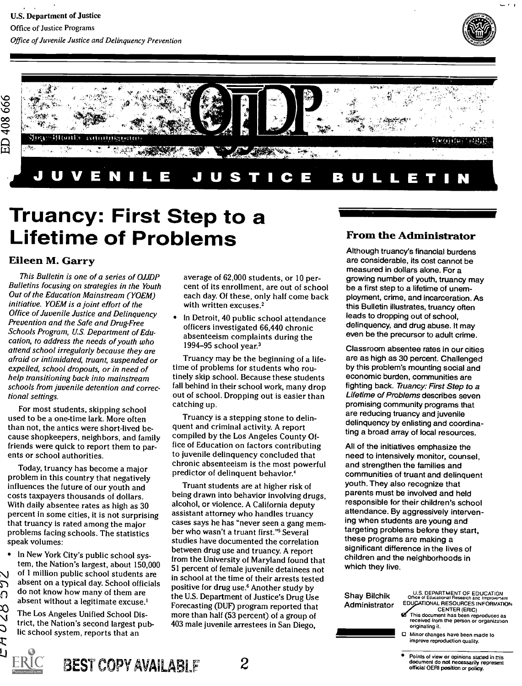

- 0



# Truancy: First Step to a Lifetime of Problems

### Eileen M. Garry

This Bulletin is one of a series of OJJDP Bulletins focusing on strategies in the Youth Out of the Education Mainstream (YOEM) initiative. YOEM is a joint effort of the Office of Juvenile Justice and Delinquency Prevention and the Safe and Drug-Free Schools Program, U.S. Department of Education, to address the needs of youth who attend school irregularly because they are afraid or intimidated, truant, suspended or expelled, school dropouts, or in need of help transitioning back into mainstream schools from juvenile detention and correctional settings.

For most students, skipping school used to be a one-time lark. More often than not, the antics were short-lived because shopkeepers, neighbors, and family friends were quick to report them to parents or school authorities.

Today, truancy has become a major problem in this country that negatively influences the future of our youth and costs taxpayers thousands of dollars. With daily absentee rates as high as 30 percent in some cities, it is not surprising that truancy is rated among the major problems facing schools. The statistics speak volumes:

In New York City's public school system, the Nation's largest, about 150,000 of 1 million public school students are absent on a typical day. School officials do not know how many of them are absent without a legitimate excuse.<sup>1</sup>

The Los Angeles Unified School District, the Nation's second largest public school system, reports that an

BEST COPY AVAILABLE  $2$ 

1Li)

 $\overline{\Omega}$ 

XX<br>V Ć t

average of 62,000 students, or 10 percent of its enrollment, are out of school each day. Of these, only half come back with written excuses.<sup>2</sup>

In Detroit, 40 public school attendance officers investigated 66,440 chronic absenteeism complaints during the 1994-95 school year. $3$ 

Truancy may be the beginning of a lifetime of problems for students who routinely skip school. Because these students fall behind in their school work, many drop out of school. Dropping out is easier than catching up.

Truancy is a stepping stone to delinquent and criminal activity. A report compiled by the Los Angeles County Office of Education on factors contributing to juvenile delinquency concluded that chronic absenteeism is the most powerful predictor of delinquent behavior.<sup>4</sup>

Truant students are at higher risk of being drawn into behavior involving drugs, alcohol, or violence. A California deputy assistant attorney who handles truancy cases says he has "never seen a gang member who wasn't a truant first. "5 Several studies have documented the correlation between drug use and truancy. A report from the University of Maryland found that 51 percent of female juvenile detainees not in school at the time of their arrests tested positive for drug use.6 Another study by the U.S. Department of Justice's Drug Use Forecasting (DUF) program reported that more than half (53 percent) of a group of 403 male juvenile arrestees in San Diego,

### From the Administrator

11111111111=MIIIIMIIIMI1===

Although truancy's financial burdens are considerable, its cost cannot be measured in dollars alone. For a growing number of youth, truancy may be a first step to a lifetime of unemployment, crime, and incarceration. As this Bulletin illustrates, truancy often leads to dropping out of school, delinquency, and drug abuse. It may even be the precursor to adult crime.

Classroom absentee rates in our cities are as high as 30 percent. Challenged by this problem's mounting social and economic burden, communities are fighting back. Truancy: First Step to a Lifetime of Problems describes seven promising community programs that are reducing truancy and juvenile delinquency by enlisting and coordinating a broad array of local resources.

All of the initiatives emphasize the need to intensively monitor, counsel, and strengthen the families and communities of truant and delinquent youth. They also recognize that parents must be involved and held responsible for their children's school attendance. By aggressively intervening when students are young and targeting problems before they start, these programs are making a significant difference in the lives of children and the neighborhoods in which they live.

Shay Bilchik Administrator

### U.S. DEPARTMENT OF EDUCATION<br>Office of Educational Research and Improvement EDUCATIONAL RESOURCES INFORMATION

- CENTER (ERIC) This document has been reproduces as received from the person or organization originating it.
- Minor changes have been made to improve reproduction quality.

Points of view or opinions stated in this<br>document do not necessarily represent official OERI position or policy.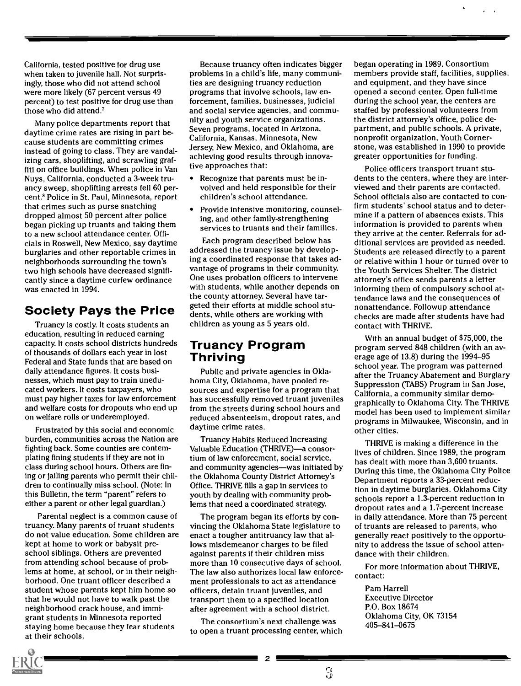California, tested positive for drug use when taken to juvenile hall. Not surprisingly, those who did not attend school were more likely (67 percent versus 49 percent) to test positive for drug use than those who did attend.'

Many police departments report that daytime crime rates are rising in part because students are committing crimes instead of going to class. They are vandalizing cars, shoplifting, and scrawling graffiti on office buildings. When police in Van Nuys, California, conducted a 3-week truancy sweep, shoplifting arrests fell 60 percent.8 Police in St. Paul, Minnesota, report that crimes such as purse snatching dropped almost 50 percent after police began picking up truants and taking them to a new school attendance center. Officials in Roswell, New Mexico, say daytime burglaries and other reportable crimes in neighborhoods surrounding the town's two high schools have decreased significantly since a daytime curfew ordinance was enacted in 1994.

### Society Pays the Price

Truancy is costly. It costs students an education, resulting in reduced earning capacity. It costs school districts hundreds of thousands of dollars each year in lost Federal and State funds that are based on daily attendance figures. It costs businesses, which must pay to train uneducated workers. It costs taxpayers, who must pay higher taxes for law enforcement and welfare costs for dropouts who end up on welfare rolls or underemployed.

Frustrated by this social and economic burden, communities across the Nation are fighting back. Some counties are contemplating fining students if they are not in class during school hours. Others are fining or jailing parents who permit their children to continually miss school. (Note: In this Bulletin, the term "parent" refers to either a parent or other legal guardian.)

Parental neglect is a common cause of truancy. Many parents of truant students do not value education. Some children are kept at home to work or babysit preschool siblings. Others are prevented from attending school because of problems at home, at school, or in their neighborhood. One truant officer described a student whose parents kept him home so that he would not have to walk past the neighborhood crack house, and immigrant students in Minnesota reported staying home because they fear students at their schools.

Because truancy often indicates bigger problems in a child's life, many communities are designing truancy reduction programs that involve schools, law enforcement, families, businesses, judicial and social service agencies, and community and youth service organizations. Seven programs, located in Arizona, California, Kansas, Minnesota, New Jersey, New Mexico, and Oklahoma, are achieving good results through innovative approaches that:

- Recognize that parents must be involved and held responsible for their children's school attendance.
- Provide intensive monitoring, counseling, and other family-strengthening services to truants and their families.

Each program described below has addressed the truancy issue by developing a coordinated response that takes advantage of programs in their community. One uses probation officers to intervene with students, while another depends on the county attorney. Several have targeted their efforts at middle school students, while others are working with children as young as 5 years old.

### Truancy Program Thriving

Public and private agencies in Oklahoma City, Oklahoma, have pooled resources and expertise for a program that has successfully removed truant juveniles from the streets during school hours and reduced absenteeism, dropout rates, and daytime crime rates.

Truancy Habits Reduced Increasing Valuable Education (THRIVE)—a consortium of law enforcement, social service, and community agencies-was initiated by the Oklahoma County District Attorney's Office. THRIVE fills a gap in services to youth by dealing with community problems that need a coordinated strategy.

The program began its efforts by convincing the Oklahoma State legislature to enact a tougher antitruancy law that allows misdemeanor charges to be filed against parents if their children miss more than 10 consecutive days of school. The law also authorizes local law enforcement professionals to act as attendance officers, detain truant juveniles, and transport them to a specified location after agreement with a school district.

The consortium's next challenge was to open a truant processing center, which began operating in 1989. Consortium members provide staff, facilities, supplies, and equipment, and they have since opened a second center. Open full-time during the school year, the centers are staffed by professional volunteers from the district attorney's office, police department, and public schools. A private, nonprofit organization, Youth Cornerstone, was established in 1990 to provide greater opportunities for funding.

Police officers transport truant students to the centers, where they are interviewed and their parents are contacted. School officials also are contacted to confirm students' school status and to determine if a pattern of absences exists. This information is provided to parents when they arrive at the center. Referrals for additional services are provided as needed. Students are released directly to a parent or relative within 1 hour or turned over to the Youth Services Shelter. The district attorney's office sends parents a letter informing them of compulsory school attendance laws and the consequences of nonattendance. Followup attendance checks are made after students have had contact with THRIVE.

With an annual budget of \$75,000, the program served 848 children (with an average age of 13.8) during the 1994-95 school year. The program was patterned after the Truancy Abatement and Burglary Suppression (TABS) Program in San Jose, California, a community similar demographically to Oklahoma City. The THRIVE model has been used to implement similar programs in Milwaukee, Wisconsin, and in other cities.

THRIVE is making a difference in the lives of children. Since 1989, the program has dealt with more than 3,600 truants. During this time, the Oklahoma City Police Department reports a 33-percent reduction in daytime burglaries. Oklahoma City schools report a 1.3-percent reduction in dropout rates and a 1.7-percent increase in daily attendance. More than 75 percent of truants are released to parents, who generally react positively to the opportunity to address the issue of school attendance with their children.

For more information about THRIVE, contact:

Pam Harrell Executive Director P.O. Box 18674 Oklahoma City, OK 73154 405-841-0675



 $\overline{3}$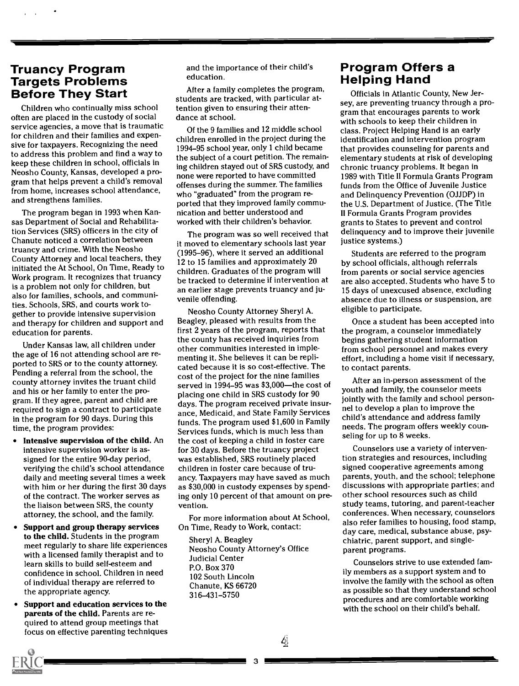## Truancy Program **Targets Problems<br>Before They Start**

Children who continually miss school often are placed in the custody of social service agencies, a move that is traumatic for children and their families and expensive for taxpayers. Recognizing the need to address this problem and find a way to keep these children in school, officials in Neosho County, Kansas, developed a program that helps prevent a child's removal from home, increases school attendance, and strengthens families.

The program began in 1993 when Kansas Department of Social and Rehabilitation Services (SRS) officers in the city of Chanute noticed a correlation between truancy and crime. With the Neosho County Attorney and local teachers, they initiated the At School, On Time, Ready to Work program. It recognizes that truancy is a problem not only for children, but also for families, schools, and communities. Schools, SRS, and courts work together to provide intensive supervision and therapy for children and support and education for parents.

Under Kansas law, all children under the age of 16 not attending school are reported to SRS or to the county attorney. Pending a referral from the school, the county attorney invites the truant child and his or her family to enter the program. If they agree, parent and child are required to sign a contract to participate in the program for 90 days. During this time, the program provides:

- Intensive supervision of the child. An intensive supervision worker is assigned for the entire 90-day period, verifying the child's school attendance daily and meeting several times a week with him or her during the first 30 days of the contract. The worker serves as the liaison between SRS, the county attorney, the school, and the family.
- Support and group therapy services to the child. Students in the program meet regularly to share life experiences with a licensed family therapist and to learn skills to build self-esteem and confidence in school. Children in need of individual therapy are referred to the appropriate agency.
- Support and education services to the parents of the child. Parents are required to attend group meetings that focus on effective parenting techniques

and the importance of their child's education.

After a family completes the program, students are tracked, with particular attention given to ensuring their attendance at school.

Of the 9 families and 12 middle school children enrolled in the project during the 1994-95 school year, only 1 child became the subject of a court petition. The remaining children stayed out of SRS custody, and none were reported to have committed offenses during the summer. The families who "graduated" from the program reported that they improved family communication and better understood and worked with their children's behavior.

The program was so well received that it moved to elementary schools last year (1995-96), where it served an additional 12 to 15 families and approximately 20 children. Graduates of the program will be tracked to determine if intervention at an earlier stage prevents truancy and juvenile offending.

Neosho County Attorney Sheryl A. Beagley, pleased with results from the first 2 years of the program, reports that the county has received inquiries from other communities interested in implementing it. She believes it can be replicated because it is so cost-effective. The cost of the project for the nine families served in 1994-95 was \$3,000-the cost of placing one child in SRS custody for 90 days. The program received private insurance, Medicaid, and State Family Services funds. The program used \$1,600 in Family Services funds, which is much less than the cost of keeping a child in foster care for 30 days. Before the truancy project was established, SRS routinely placed children in foster care because of truancy. Taxpayers may have saved as much as \$30,000 in custody expenses by spending only 10 percent of that amount on prevention.

For more information about At School, On Time, Ready to Work, contact:

Sheryl A. Beagley Neosho County Attorney's Office Judicial Center P.O. Box 370 102 South Lincoln Chanute, KS 66720 316-431-5750

# Program Offers a Helping Hand

Officials in Atlantic County, New Jersey, are preventing truancy through a program that encourages parents to work with schools to keep their children in class. Project Helping Hand is an early identification and intervention program that provides counseling for parents and elementary students at risk of developing chronic truancy problems. It began in 1989 with Title II Formula Grants Program funds from the Office of Juvenile Justice and Delinquency Prevention (OJJDP) in the U.S. Department of Justice. (The Title II Formula Grants Program provides grants to States to prevent and control delinquency and to improve their juvenile justice systems.)

Students are referred to the program by school officials, although referrals from parents or social service agencies are also accepted. Students who have 5 to 15 days of unexcused absence, excluding absence due to illness or suspension, are eligible to participate.

Once a student has been accepted into the program, a counselor immediately begins gathering student information from school personnel and makes every effort, including a home visit if necessary, to contact parents.

After an in-person assessment of the youth and family, the counselor meets jointly with the family and school personnel to develop a plan to improve the child's attendance and address family needs. The program offers weekly counseling for up to 8 weeks.

Counselors use a variety of intervention strategies and resources, including signed cooperative agreements among parents, youth, and the school; telephone discussions with appropriate parties; and other school resources such as child study teams, tutoring, and parent-teacher conferences. When necessary, counselors also refer families to housing, food stamp, day care, medical, substance abuse, psychiatric, parent support, and singleparent programs.

Counselors strive to use extended family members as a support system and to involve the family with the school as often as possible so that they understand school procedures and are comfortable working with the school on their child's behalf.

3

 $\left| \right\rangle$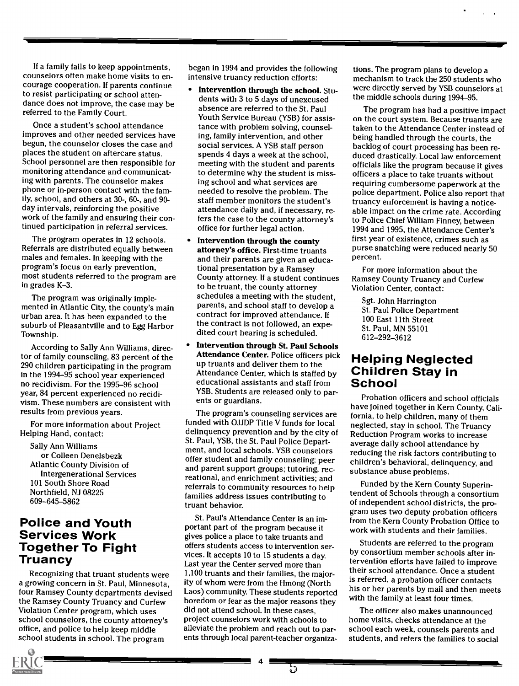If a family fails to keep appointments, counselors often make home visits to encourage cooperation. If parents continue to resist participating or school attendance does not improve, the case may be referred to the Family Court.

Once a student's school attendance improves and other needed services have begun, the counselor closes the case and places the student on aftercare status. School personnel are then responsible for monitoring attendance and communicating with parents. The counselor makes phone or in-person contact with the family, school, and others at 30-, 60-, and 90 day intervals, reinforcing the positive work of the family and ensuring their continued participation in referral services.

The program operates in 12 schools. Referrals are distributed equally between males and females. In keeping with the program's focus on early prevention, most students referred to the program are in grades K-3.

The program was originally implemented in Atlantic City, the county's main urban area. It has been expanded to the suburb of Pleasantville and to Egg Harbor Township.

According to Sally Ann Williams, director of family counseling, 83 percent of the 290 children participating in the program in the 1994-95 school year experienced no recidivism. For the 1995-96 school year, 84 percent experienced no recidivism. These numbers are consistent with results from previous years.

For more information about Project Helping Hand, contact:

Sally Ann Williams or Colleen Denelsbezk Atlantic County Division of Intergenerational Services 101 South Shore Road Northfield, NJ 08225 609-645-5862

## Police and Youth Services Work Together To Fight<br>Truancv

Recognizing that truant students were a growing concern in St. Paul, Minnesota, four Ramsey County departments devised the Ramsey County Truancy and Curfew Violation Center program, which uses school counselors, the county attorney's office, and police to help keep middle school students in school. The program

began in 1994 and provides the following intensive truancy reduction efforts:

- Intervention through the school. Students with 3 to 5 days of unexcused absence are referred to the St. Paul Youth Service Bureau (YSB) for assistance with problem solving, counseling, family intervention, and other social services. A YSB staff person spends 4 days a week at the school, meeting with the student and parents to determine why the student is missing school and what services are needed to resolve the problem. The staff member monitors the student's attendance daily and, if necessary, refers the case to the county attorney's office for further legal action.
- Intervention through the county attorney's office. First-time truants and their parents are given an educational presentation by a Ramsey County attorney. If a student continues to be truant, the county attorney schedules a meeting with the student, parents, and school staff to develop a contract for improved attendance. If the contract is not followed, an expedited court hearing is scheduled.
- Intervention through St. Paul Schools Attendance Center. Police officers pick up truants and deliver them to the<br>Attendance Center, which is staffed by **Children Stay in** Attendance Center, which is staffed by **Childre**<br>educational assistants and staff from **School** educational assistants and staff from YSB. Students are released only to parents or guardians.

The program's counseling services are funded with OJJDP Title V funds for local delinquency prevention and by the city of St. Paul, YSB, the St. Paul Police Department, and local schools. YSB counselors offer student and family counseling; peer and parent support groups; tutoring, recreational, and enrichment activities; and referrals to community resources to help families address issues contributing to truant behavior.

St. Paul's Attendance Center is an important part of the program because it gives police a place to take truants and offers students access to intervention services. It accepts 10 to 15 students a day. Last year the Center served more than 1,100 truants and their families, the majority of whom were from the Hmong (North Laos) community. These students reported boredom or fear as the major reasons they did not attend school. In these cases, project counselors work with schools to alleviate the problem and reach out to parents through local parent-teacher organizations. The program plans to develop a mechanism to track the 250 students who were directly served by YSB counselors at the middle schools during 1994-95.

The program has had a positive impact on the court system. Because truants are taken to the Attendance Center instead of being handled through the courts, the backlog of court processing has been reduced drastically. Local law enforcement officials like the program because it gives officers a place to take truants without requiring cumbersome paperwork at the police department. Police also report that truancy enforcement is having a noticeable impact on the crime rate. According to Police Chief William Finney, between 1994 and 1995, the Attendance Center's first year of existence, crimes such as purse snatching were reduced nearly 50 percent.

For more information about the Ramsey County Truancy and Curfew Violation Center, contact:

Sgt. John Harrington St. Paul Police Department 100 East 11th Street St. Paul, MN 55101 612-292-3612

# **Helping Neglected**

Probation officers and school officials have joined together in Kern County, California, to help children, many of them neglected, stay in school. The Truancy Reduction Program works to increase average daily school attendance by reducing the risk factors contributing to children's behavioral, delinquency, and substance abuse problems.

Funded by the Kern County Superintendent of Schools through a consortium of independent school districts, the program uses two deputy probation officers from the Kern County Probation Office to work with students and their families.

Students are referred to the program by consortium member schools after intervention efforts have failed to improve their school attendance. Once a student is referred, a probation officer contacts his or her parents by mail and then meets with the family at least four times.

The officer also makes unannounced home visits, checks attendance at the school each week, counsels parents and students, and refers the families to social

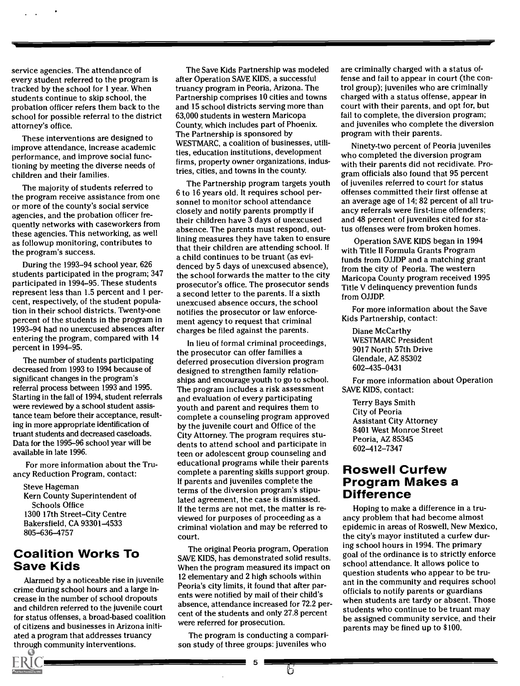service agencies. The attendance of every student referred to the program is tracked by the school for 1 year. When students continue to skip school, the probation officer refers them back to the school for possible referral to the district attorney's office.

These interventions are designed to improve attendance, increase academic performance, and improve social functioning by meeting the diverse needs of children and their families.

The majority of students referred to the program receive assistance from one or more of the county's social service agencies, and the probation officer frequently networks with caseworkers from these agencies. This networking, as well as followup monitoring, contributes to the program's success.

During the 1993-94 school year, 626 students participated in the program; 347 participated in 1994-95. These students represent less than 1.5 percent and 1 percent, respectively, of the student population in their school districts. Twenty-one percent of the students in the program in 1993-94 had no unexcused absences after entering the program, compared with 14 percent in 1994-95.

The number of students participating decreased from 1993 to 1994 because of significant changes in the program's referral process between 1993 and 1995. Starting in the fall of 1994, student referrals were reviewed by a school student assistance team before their acceptance, resulting in more appropriate identification of truant students and decreased caseloads. Data for the 1995-96 school year will be available in late 1996.

For more information about the Truancy Reduction Program, contact:

Steve Hageman Kern County Superintendent of Schools Office 1300 17th Street-City Centre Bakersfield, CA 93301-4533 805-636-4757

### Coalition Works To Save Kids

Alarmed by a noticeable rise in juvenile crime during school hours and a large increase in the number of school dropouts and children referred to the juvenile court for status offenses, a broad-based coalition of citizens and businesses in Arizona initiated a program that addresses truancy through community interventions.

The Save Kids Partnership was modeled after Operation SAVE KIDS, a successful truancy program in Peoria, Arizona. The Partnership comprises 10 cities and towns and 15 school districts serving more than 63,000 students in western Maricopa County, which includes part of Phoenix. The Partnership is sponsored by WESTMARC, a coalition of businesses, utilities, education institutions, development firms, property owner organizations, industries, cities, and towns in the county.

The Partnership program targets youth 6 to 16 years old. It requires school personnel to monitor school attendance closely and notify parents promptly if their children have 3 days of unexcused absence. The parents must respond, outlining measures they have taken to ensure that their children are attending school. If a child continues to be truant (as evidenced by 5 days of unexcused absence), the school forwards the matter to the city prosecutor's office. The prosecutor sends a second letter to the parents. If a sixth unexcused absence occurs, the school notifies the prosecutor or law enforcement agency to request that criminal charges be filed against the parents.

In lieu of formal criminal proceedings, the prosecutor can offer families a deferred prosecution diversion program designed to strengthen family relationships and encourage youth to go to school. The program includes a risk assessment and evaluation of every participating youth and parent and requires them to complete a counseling program approved by the juvenile court and Office of the City Attorney. The program requires students to attend school and participate in teen or adolescent group counseling and educational programs while their parents complete a parenting skills support group. If parents and juveniles complete the terms of the diversion program's stipulated agreement, the case is dismissed. If the terms are not met, the matter is reviewed for purposes of proceeding as a criminal violation and may be referred to court.

The original Peoria program, Operation SAVE KIDS, has demonstrated solid results. When the program measured its impact on 12 elementary and 2 high schools within Peoria's city limits, it found that after parents were notified by mail of their child's absence, attendance increased for 72.2 percent of the students and only 27.8 percent were referred for prosecution.

The program is conducting a comparison study of three groups: juveniles who

5  $\frac{1}{5}$ 

are criminally charged with a status offense and fail to appear in court (the control group); juveniles who are criminally charged with a status offense, appear in court with their parents, and opt for, but fail to complete, the diversion program; and juveniles who complete the diversion program with their parents.

Ninety-two percent of Peoria juveniles who completed the diversion program with their parents did not recidivate. Program officials also found that 95 percent of juveniles referred to court for status offenses committed their first offense at an average age of 14; 82 percent of all truancy referrals were first-time offenders; and 48 percent of juveniles cited for status offenses were from broken homes.

Operation SAVE KIDS began in 1994 with Title II Formula Grants Program funds from OJJDP and a matching grant from the city of Peoria. The western Maricopa County program received 1995 Title V delinquency prevention funds from OJJDP.

For more information about the Save Kids Partnership, contact:

Diane McCarthy WESTMARC President 9017 North 57th Drive Glendale, AZ 85302 602-435-0431

For more information about Operation SAVE KIDS, contact:

Terry Bays Smith City of Peoria Assistant City Attorney 8401 West Monroe Street Peoria, AZ 85345 602-412-7347

## Roswell Curfew Program Makes a Difference

Hoping to make a difference in a truancy problem that had become almost epidemic in areas of Roswell, New Mexico, the city's mayor instituted a curfew during school hours in 1994. The primary goal of the ordinance is to strictly enforce school attendance. It allows police to question students who appear to be truant in the community and requires school officials to notify parents or guardians when students are tardy or absent. Those students who continue to be truant may be assigned community service, and their parents may be fined up to \$100.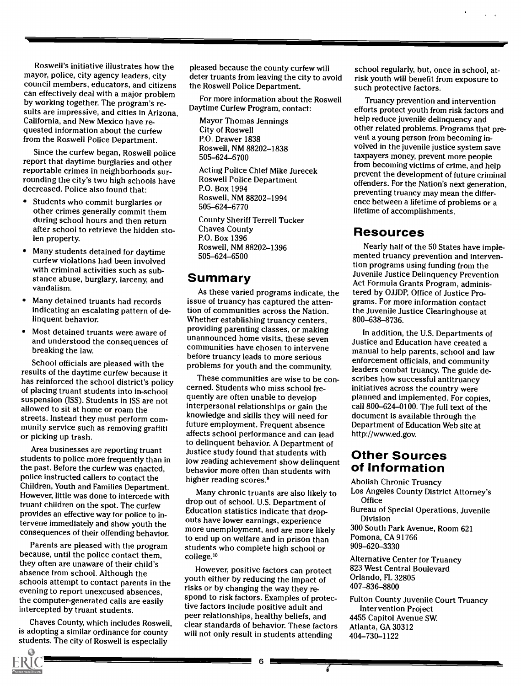Roswell's initiative illustrates how the mayor, police, city agency leaders, city council members, educators, and citizens can effectively deal with a major problem by working together. The program's results are impressive, and cities in Arizona, California, and New Mexico have requested information about the curfew from the Roswell Police Department.

Since the curfew began, Roswell police report that daytime burglaries and other reportable crimes in neighborhoods surrounding the city's two high schools have decreased. Police also found that:

- Students who commit burglaries or other crimes generally commit them during school hours and then return after school to retrieve the hidden stolen property.
- Many students detained for daytime curfew violations had been involved with criminal activities such as substance abuse, burglary, larceny, and vandalism.
- Many detained truants had records indicating an escalating pattern of delinquent behavior.
- Most detained truants were aware of and understood the consequences of breaking the law.

School officials are pleased with the results of the daytime curfew because it has reinforced the school district's policy of placing truant students into in-school suspension (ISS). Students in ISS are not allowed to sit at home or roam the streets. Instead they must perform community service such as removing graffiti or picking up trash.

Area businesses are reporting truant students to police more frequently than in the past. Before the curfew was enacted, police instructed callers to contact the Children, Youth and Families Department. However, little was done to intercede with truant children on the spot. The curfew provides an effective way for police to intervene immediately and show youth the consequences of their offending behavior.

Parents are pleased with the program because, until the police contact them, they often are unaware of their child's absence from school. Although the schools attempt to contact parents in the evening to report unexcused absences, the computer-generated calls are easily intercepted by truant students.

Chaves County, which includes Roswell, is adopting a similar ordinance for county students. The city of Roswell is especially

pleased because the county curfew will deter truants from leaving the city to avoid the Roswell Police Department.

For more information about the Roswell Daytime Curfew Program, contact:

Mayor Thomas Jennings City of Roswell P.O. Drawer 1838 Roswell, NM 88202-1838 505-624-6700

Acting Police Chief Mike Jurecek Roswell Police Department P.O. Box 1994 Roswell, NM 88202-1994 505 - 624 -6770

County Sheriff Terrell Tucker Chaves County P.O. Box 1396 Roswell, NM 88202-1396 505-624-6500

### Summary

As these varied programs indicate, the issue of truancy has captured the attention of communities across the Nation. Whether establishing truancy centers, providing parenting classes, or making unannounced home visits, these seven communities have chosen to intervene before truancy leads to more serious problems for youth and the community.

These communities are wise to be concerned. Students who miss school frequently are often unable to develop interpersonal relationships or gain the knowledge and skills they will need for future employment. Frequent absence affects school performance and can lead to delinquent behavior. A Department of Justice study found that students with low reading achievement show delinquent behavior more often than students with higher reading scores.<sup>9</sup>

Many chronic truants are also likely to drop out of school. U.S. Department of Education statistics indicate that dropouts have lower earnings, experience more unemployment, and are more likely to end up on welfare and in prison than students who complete high school or college.<sup>10</sup>

However, positive factors can protect youth either by reducing the impact of risks or by changing the way they respond to risk factors. Examples of protective factors include positive adult and peer relationships, healthy beliefs, and clear standards of behavior. These factors will not only result in students attending

6 E

school regularly, but, once in school, atrisk youth will benefit from exposure to such protective factors.

Truancy prevention and intervention efforts protect youth from risk factors and help reduce juvenile delinquency and other related problems. Programs that prevent a young person from becoming involved in the juvenile justice system save taxpayers money, prevent more people from becoming victims of crime, and help prevent the development of future criminal offenders. For the Nation's next generation, preventing truancy may mean the difference between a lifetime of problems or a lifetime of accomplishments.

### Resources

Nearly half of the 50 States have implemented truancy prevention and intervention programs using funding from the Juvenile Justice Delinquency Prevention Act Formula Grants Program, administered by OJJDP, Office of Justice Programs. For more information contact the Juvenile Justice Clearinghouse at 800-638-8736.

In addition, the U.S. Departments of Justice and Education have created a manual to help parents, school and law enforcement officials, and community leaders combat truancy. The guide describes how successful antitruancy initiatives across the country were planned and implemented. For copies, call 800-624-0100. The full text of the document is available through the Department of Education Web site at http://www.ed.gov.

### Other Sources of Information

Abolish Chronic Truancy

- Los Angeles County District Attorney's **Office**
- Bureau of Special Operations, Juvenile Division
- 300 South Park Avenue, Room 621 Pomona, CA 91766 909-620-3330

Alternative Center for Truancy 823 West Central Boulevard Orlando, FL 32805 407-836-8800

Fulton County Juvenile Court Truancy Intervention Project 4455 Capitol Avenue SW. Atlanta, GA 30312 404-730-1122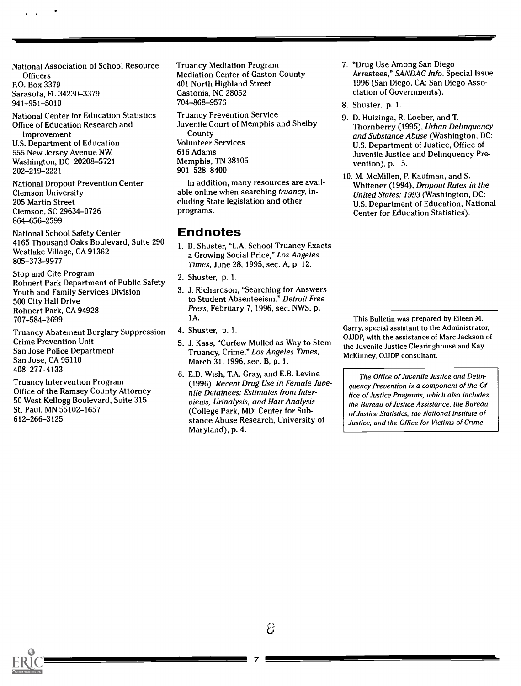National Association of School Resource **Officers** P.O. Box 3379 Sarasota, FL 34230-3379 941-951-5010

National Center for Education Statistics Office of Education Research and Improvement U.S. Department of Education 555 New Jersey Avenue NW. Washington, DC 20208-5721 202-219-2221

National Dropout Prevention Center Clemson University 205 Martin Street Clemson, SC 29634-0726 864-656-2599

National School Safety Center 4165 Thousand Oaks Boulevard, Suite 290 Westlake Village, CA 91362 805-373-9977

Stop and Cite Program Rohnert Park Department of Public Safety Youth and Family Services Division 500 City Hall Drive Rohnert Park, CA 94928 707-584-2699

Truancy Abatement Burglary Suppression Crime Prevention Unit San Jose Police Department San Jose, CA 95110 408-277-4133

Truancy Intervention Program Office of the Ramsey County Attorney 50 West Kellogg Boulevard, Suite 315 St. Paul, MN 55102-1657 612-266-3125

Truancy Mediation Program Mediation Center of Gaston County 401 North Highland Street Gastonia, NC 28052 704-868-9576

Truancy Prevention Service Juvenile Court of Memphis and Shelby County Volunteer Services 616 Adams Memphis, TN 38105 901-528-8400

In addition, many resources are available online when searching truancy, including State legislation and other programs.

### Endnotes

- 1. B. Shuster, "L.A. School Truancy Exacts a Growing Social Price," Los Angeles Times, June 28,1995, sec. A, p. 12.
- 2. Shuster, p. 1.
- 3. J. Richardson, "Searching for Answers to Student Absenteeism," Detroit Free Press, February 7, 1996, sec. NWS, p. 1A.
- 4. Shuster, p. 1.
- 5. J. Kass, "Curfew Mulled as Way to Stem Truancy, Crime," Los Angeles Times, March 31,1996, sec. B, p. 1.
- 6. E.D. Wish, T.A. Gray, and E.B. Levine (1996), Recent Drug Use in Female Juvenile Detainees: Estimates from Interviews, Urinalysis, and Hair Analysis (College Park, MD: Center for Substance Abuse Research, University of Maryland), p. 4.

7. "Drug Use Among San Diego Arrestees," SANDAG Info, Special Issue 1996 (San Diego, CA: San Diego Association of Governments).

- 8. Shuster, p. 1.
- 9. D. Huizinga, R. Loeber, and T Thornberry (1995), Urban Delinquency and Substance Abuse (Washington, DC: U.S. Department of Justice, Office of Juvenile Justice and Delinquency Prevention), p. 15.
- 10. M. McMillen, P. Kaufman, and S. Whitener (1994), Dropout Rates in the United States: 1993 (Washington, DC: U.S. Department of Education, National Center for Education Statistics).

This Bulletin was prepared by Eileen M. Garry, special assistant to the Administrator, OJJDP, with the assistance of Marc Jackson of the Juvenile Justice Clearinghouse and Kay McKinney, OJJDP consultant.

The Office of Juvenile Justice and Delinquency Prevention is a component of the Office of Justice Programs, which also includes the Bureau of Justice Assistance, the Bureau of Justice Statistics, the National Institute of Justice, and the Office for Victims of Crime.

වූ

7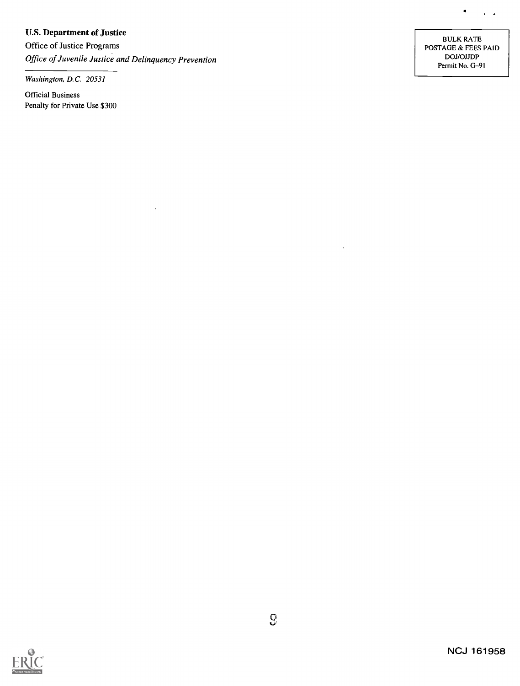### U.S. Department of Justice

Office of Justice Programs Office of Juvenile Justice and Delinquency Prevention

Washington, D.C. 20531

Official Business Penalty for Private Use \$300

BULK RATE POSTAGE & FEES PAID DOJ /OJJDP Permit No. G-91

 $\bullet$ 

 $\sim 100$   $\mu$ 



 $\ddot{\phantom{a}}$